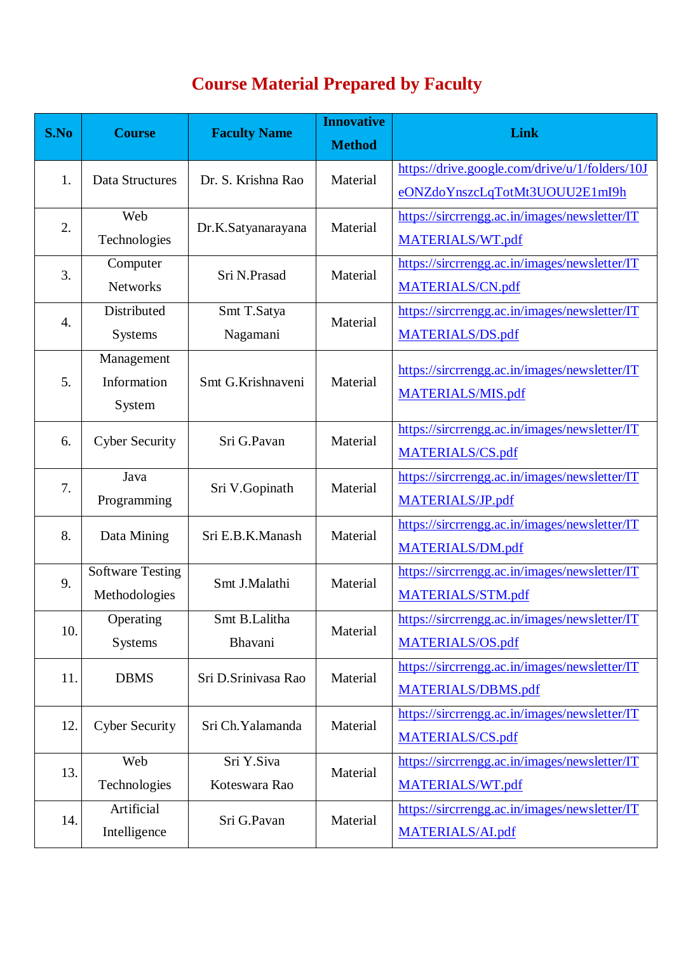## **Course Material Prepared by Faculty**

| S.No | <b>Course</b>           | <b>Faculty Name</b> | <b>Innovative</b><br><b>Method</b> | <b>Link</b>                                    |
|------|-------------------------|---------------------|------------------------------------|------------------------------------------------|
| 1.   | Data Structures         | Dr. S. Krishna Rao  | Material                           | https://drive.google.com/drive/u/1/folders/10J |
|      |                         |                     |                                    | eONZdoYnszcLqTotMt3UOUU2E1mI9h                 |
| 2.   | Web                     | Dr.K.Satyanarayana  | Material                           | https://sircrrengg.ac.in/images/newsletter/IT  |
|      | Technologies            |                     |                                    | MATERIALS/WT.pdf                               |
| 3.   | Computer                | Sri N.Prasad        | Material                           | https://sircrrengg.ac.in/images/newsletter/IT  |
|      | <b>Networks</b>         |                     |                                    | MATERIALS/CN.pdf                               |
|      | Distributed             | Smt T.Satya         |                                    | https://sircrrengg.ac.in/images/newsletter/IT  |
| 4.   | <b>Systems</b>          | Nagamani            | Material                           | MATERIALS/DS.pdf                               |
|      | Management              |                     | Material                           |                                                |
| 5.   | Information             | Smt G.Krishnaveni   |                                    | https://sircrrengg.ac.in/images/newsletter/IT  |
|      | System                  |                     |                                    | <b>MATERIALS/MIS.pdf</b>                       |
| 6.   | <b>Cyber Security</b>   | Sri G.Pavan         | Material                           | https://sircrrengg.ac.in/images/newsletter/IT  |
|      |                         |                     |                                    | MATERIALS/CS.pdf                               |
|      | Java                    |                     | Material                           | https://sircrrengg.ac.in/images/newsletter/IT  |
| 7.   | Programming             | Sri V.Gopinath      |                                    | MATERIALS/JP.pdf                               |
|      | Data Mining             | Sri E.B.K.Manash    | Material                           | https://sircrrengg.ac.in/images/newsletter/IT  |
| 8.   |                         |                     |                                    | MATERIALS/DM.pdf                               |
| 9.   | <b>Software Testing</b> | Smt J.Malathi       | Material                           | https://sircrrengg.ac.in/images/newsletter/IT  |
|      | Methodologies           |                     |                                    | MATERIALS/STM.pdf                              |
| 10.  | Operating               | Smt B.Lalitha       |                                    | https://sircrrengg.ac.in/images/newsletter/IT  |
|      | Systems                 | Bhavani             | Material                           | MATERIALS/OS.pdf                               |
| 11.  | <b>DBMS</b>             | Sri D.Srinivasa Rao | Material                           | https://sircrrengg.ac.in/images/newsletter/IT  |
|      |                         |                     |                                    | MATERIALS/DBMS.pdf                             |
| 12.  | <b>Cyber Security</b>   | Sri Ch. Yalamanda   | Material                           | https://sircrrengg.ac.in/images/newsletter/IT  |
|      |                         |                     |                                    | MATERIALS/CS.pdf                               |
| 13.  | Web                     | Sri Y.Siva          | Material                           | https://sircrrengg.ac.in/images/newsletter/IT  |
|      | Technologies            | Koteswara Rao       |                                    | MATERIALS/WT.pdf                               |
| 14.  | Artificial              | Sri G.Pavan         | Material                           | https://sircrrengg.ac.in/images/newsletter/IT  |
|      | Intelligence            |                     |                                    | MATERIALS/AL.pdf                               |